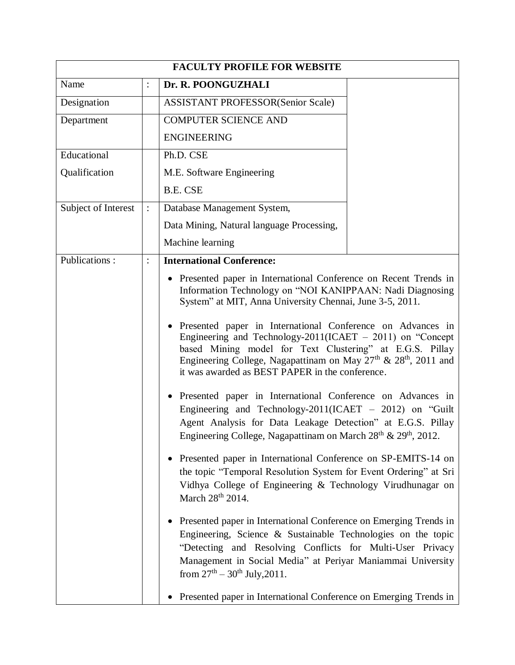| <b>FACULTY PROFILE FOR WEBSITE</b> |                |                                                                                                                                                                                                                                                                                                                                     |  |  |
|------------------------------------|----------------|-------------------------------------------------------------------------------------------------------------------------------------------------------------------------------------------------------------------------------------------------------------------------------------------------------------------------------------|--|--|
| Name                               |                | Dr. R. POONGUZHALI                                                                                                                                                                                                                                                                                                                  |  |  |
| Designation                        |                | <b>ASSISTANT PROFESSOR(Senior Scale)</b>                                                                                                                                                                                                                                                                                            |  |  |
| Department                         |                | <b>COMPUTER SCIENCE AND</b>                                                                                                                                                                                                                                                                                                         |  |  |
|                                    |                | <b>ENGINEERING</b>                                                                                                                                                                                                                                                                                                                  |  |  |
| Educational                        |                | Ph.D. CSE                                                                                                                                                                                                                                                                                                                           |  |  |
| Qualification                      |                | M.E. Software Engineering                                                                                                                                                                                                                                                                                                           |  |  |
|                                    |                | <b>B.E. CSE</b>                                                                                                                                                                                                                                                                                                                     |  |  |
| Subject of Interest                | $\ddot{\cdot}$ | Database Management System,                                                                                                                                                                                                                                                                                                         |  |  |
|                                    |                | Data Mining, Natural language Processing,                                                                                                                                                                                                                                                                                           |  |  |
|                                    |                | Machine learning                                                                                                                                                                                                                                                                                                                    |  |  |
| Publications:                      |                | <b>International Conference:</b>                                                                                                                                                                                                                                                                                                    |  |  |
|                                    |                | • Presented paper in International Conference on Recent Trends in<br>Information Technology on "NOI KANIPPAAN: Nadi Diagnosing<br>System" at MIT, Anna University Chennai, June 3-5, 2011.                                                                                                                                          |  |  |
|                                    |                | Presented paper in International Conference on Advances in<br>Engineering and Technology-2011(ICAET $-$ 2011) on "Concept<br>based Mining model for Text Clustering" at E.G.S. Pillay<br>Engineering College, Nagapattinam on May 27 <sup>th</sup> & 28 <sup>th</sup> , 2011 and<br>it was awarded as BEST PAPER in the conference. |  |  |
|                                    |                | Presented paper in International Conference on Advances in<br>Engineering and Technology-2011(ICAET $-$ 2012) on "Guilt"<br>Agent Analysis for Data Leakage Detection" at E.G.S. Pillay<br>Engineering College, Nagapattinam on March 28 <sup>th</sup> & 29 <sup>th</sup> , 2012.                                                   |  |  |
|                                    |                | Presented paper in International Conference on SP-EMITS-14 on<br>the topic "Temporal Resolution System for Event Ordering" at Sri<br>Vidhya College of Engineering & Technology Virudhunagar on<br>March 28 <sup>th</sup> 2014.                                                                                                     |  |  |
|                                    |                | Presented paper in International Conference on Emerging Trends in<br>Engineering, Science $\&$ Sustainable Technologies on the topic<br>"Detecting and Resolving Conflicts for Multi-User Privacy<br>Management in Social Media" at Periyar Maniammai University<br>from $27^{th} - 30^{th}$ July, 2011.                            |  |  |
|                                    |                | Presented paper in International Conference on Emerging Trends in                                                                                                                                                                                                                                                                   |  |  |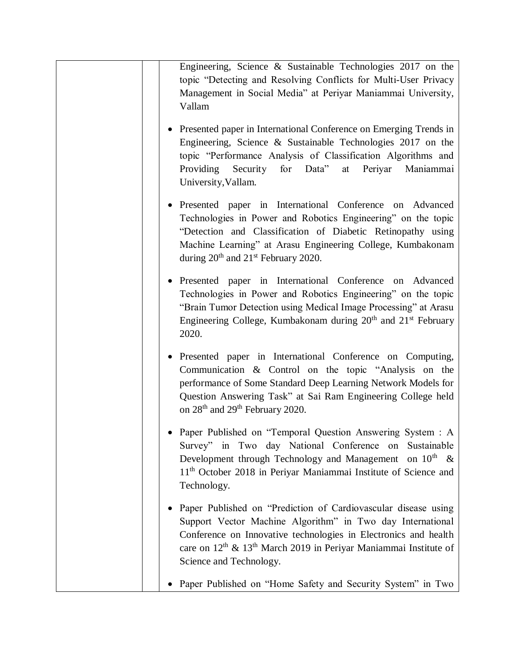| Engineering, Science & Sustainable Technologies 2017 on the<br>topic "Detecting and Resolving Conflicts for Multi-User Privacy<br>Management in Social Media" at Periyar Maniammai University,<br>Vallam                                                                                                               |
|------------------------------------------------------------------------------------------------------------------------------------------------------------------------------------------------------------------------------------------------------------------------------------------------------------------------|
| • Presented paper in International Conference on Emerging Trends in<br>Engineering, Science & Sustainable Technologies 2017 on the<br>topic "Performance Analysis of Classification Algorithms and<br>for Data"<br>Periyar<br>Maniammai<br>Providing<br>Security<br>at<br>University, Vallam.                          |
| Presented paper in International Conference on Advanced<br>Technologies in Power and Robotics Engineering" on the topic<br>"Detection and Classification of Diabetic Retinopathy using<br>Machine Learning" at Arasu Engineering College, Kumbakonam<br>during $20th$ and $21st$ February 2020.                        |
| · Presented paper in International Conference on Advanced<br>Technologies in Power and Robotics Engineering" on the topic<br>"Brain Tumor Detection using Medical Image Processing" at Arasu<br>Engineering College, Kumbakonam during 20 <sup>th</sup> and 21 <sup>st</sup> February<br>2020.                         |
| Presented paper in International Conference on Computing,<br>Communication $\&$ Control on the topic "Analysis on the<br>performance of Some Standard Deep Learning Network Models for<br>Question Answering Task" at Sai Ram Engineering College held<br>on 28 <sup>th</sup> and 29 <sup>th</sup> February 2020.      |
| • Paper Published on "Temporal Question Answering System : A<br>Survey" in Two day National Conference on Sustainable<br>Development through Technology and Management on $10^{th}$ &<br>11 <sup>th</sup> October 2018 in Periyar Maniammai Institute of Science and<br>Technology.                                    |
| Paper Published on "Prediction of Cardiovascular disease using<br>Support Vector Machine Algorithm" in Two day International<br>Conference on Innovative technologies in Electronics and health<br>care on 12 <sup>th</sup> & 13 <sup>th</sup> March 2019 in Periyar Maniammai Institute of<br>Science and Technology. |
| Paper Published on "Home Safety and Security System" in Two                                                                                                                                                                                                                                                            |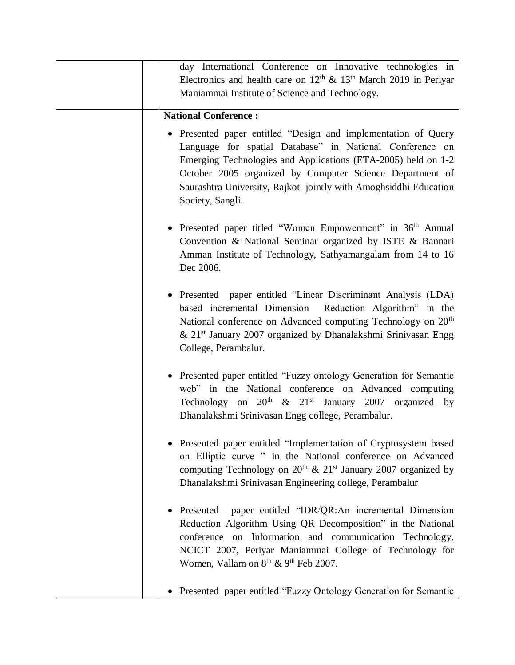| day International Conference on Innovative technologies in<br>Electronics and health care on $12th$ & $13th$ March 2019 in Periyar                                                                                                                                                                                                              |
|-------------------------------------------------------------------------------------------------------------------------------------------------------------------------------------------------------------------------------------------------------------------------------------------------------------------------------------------------|
| Maniammai Institute of Science and Technology.                                                                                                                                                                                                                                                                                                  |
| <b>National Conference:</b>                                                                                                                                                                                                                                                                                                                     |
| • Presented paper entitled "Design and implementation of Query<br>Language for spatial Database" in National Conference on<br>Emerging Technologies and Applications (ETA-2005) held on 1-2<br>October 2005 organized by Computer Science Department of<br>Saurashtra University, Rajkot jointly with Amoghsiddhi Education<br>Society, Sangli. |
| • Presented paper titled "Women Empowerment" in 36 <sup>th</sup> Annual<br>Convention & National Seminar organized by ISTE & Bannari<br>Amman Institute of Technology, Sathyamangalam from 14 to 16<br>Dec 2006.                                                                                                                                |
| • Presented paper entitled "Linear Discriminant Analysis (LDA)<br>based incremental Dimension Reduction Algorithm" in the<br>National conference on Advanced computing Technology on 20 <sup>th</sup><br>& 21 <sup>st</sup> January 2007 organized by Dhanalakshmi Srinivasan Engg<br>College, Perambalur.                                      |
| • Presented paper entitled "Fuzzy ontology Generation for Semantic<br>web" in the National conference on Advanced computing<br>Technology on $20^{th}$ & $21^{st}$ January 2007 organized by<br>Dhanalakshmi Srinivasan Engg college, Perambalur.                                                                                               |
| Presented paper entitled "Implementation of Cryptosystem based<br>on Elliptic curve " in the National conference on Advanced<br>computing Technology on $20^{th}$ & $21^{st}$ January 2007 organized by<br>Dhanalakshmi Srinivasan Engineering college, Perambalur                                                                              |
| Presented paper entitled "IDR/QR:An incremental Dimension<br>Reduction Algorithm Using QR Decomposition" in the National<br>conference on Information and communication Technology,<br>NCICT 2007, Periyar Maniammai College of Technology for<br>Women, Vallam on 8 <sup>th</sup> & 9 <sup>th</sup> Feb 2007.                                  |
| Presented paper entitled "Fuzzy Ontology Generation for Semantic                                                                                                                                                                                                                                                                                |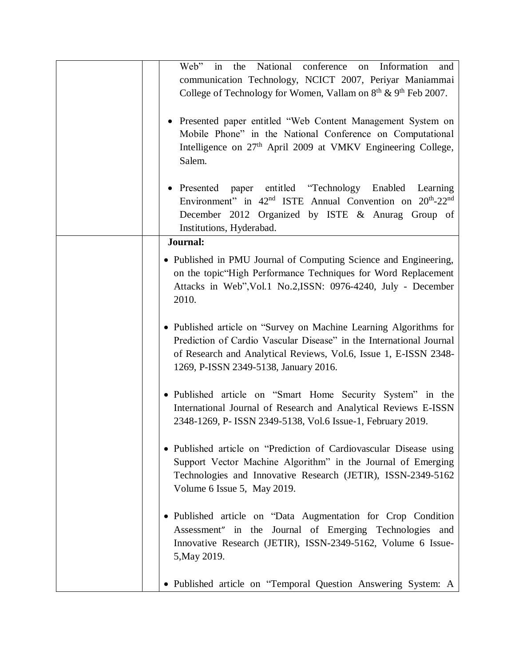| the National<br>conference<br>Web"<br>in<br>Information<br>on<br>and<br>communication Technology, NCICT 2007, Periyar Maniammai<br>College of Technology for Women, Vallam on $8th$ & $9th$ Feb 2007.                                                 |
|-------------------------------------------------------------------------------------------------------------------------------------------------------------------------------------------------------------------------------------------------------|
| • Presented paper entitled "Web Content Management System on<br>Mobile Phone" in the National Conference on Computational<br>Intelligence on 27 <sup>th</sup> April 2009 at VMKV Engineering College,<br>Salem.                                       |
| • Presented paper entitled "Technology Enabled Learning<br>Environment" in 42 <sup>nd</sup> ISTE Annual Convention on 20 <sup>th</sup> -22 <sup>nd</sup><br>December 2012 Organized by ISTE & Anurag Group of<br>Institutions, Hyderabad.             |
| Journal:                                                                                                                                                                                                                                              |
| • Published in PMU Journal of Computing Science and Engineering,<br>on the topic "High Performance Techniques for Word Replacement<br>Attacks in Web", Vol.1 No.2, ISSN: 0976-4240, July - December<br>2010.                                          |
| • Published article on "Survey on Machine Learning Algorithms for<br>Prediction of Cardio Vascular Disease" in the International Journal<br>of Research and Analytical Reviews, Vol.6, Issue 1, E-ISSN 2348-<br>1269, P-ISSN 2349-5138, January 2016. |
| • Published article on "Smart Home Security System" in the<br>International Journal of Research and Analytical Reviews E-ISSN<br>2348-1269, P- ISSN 2349-5138, Vol.6 Issue-1, February 2019.                                                          |
| • Published article on "Prediction of Cardiovascular Disease using<br>Support Vector Machine Algorithm" in the Journal of Emerging<br>Technologies and Innovative Research (JETIR), ISSN-2349-5162<br>Volume 6 Issue 5, May 2019.                     |
| • Published article on "Data Augmentation for Crop Condition<br>Assessment" in the Journal of Emerging Technologies and<br>Innovative Research (JETIR), ISSN-2349-5162, Volume 6 Issue-<br>5, May 2019.                                               |
| • Published article on "Temporal Question Answering System: A                                                                                                                                                                                         |